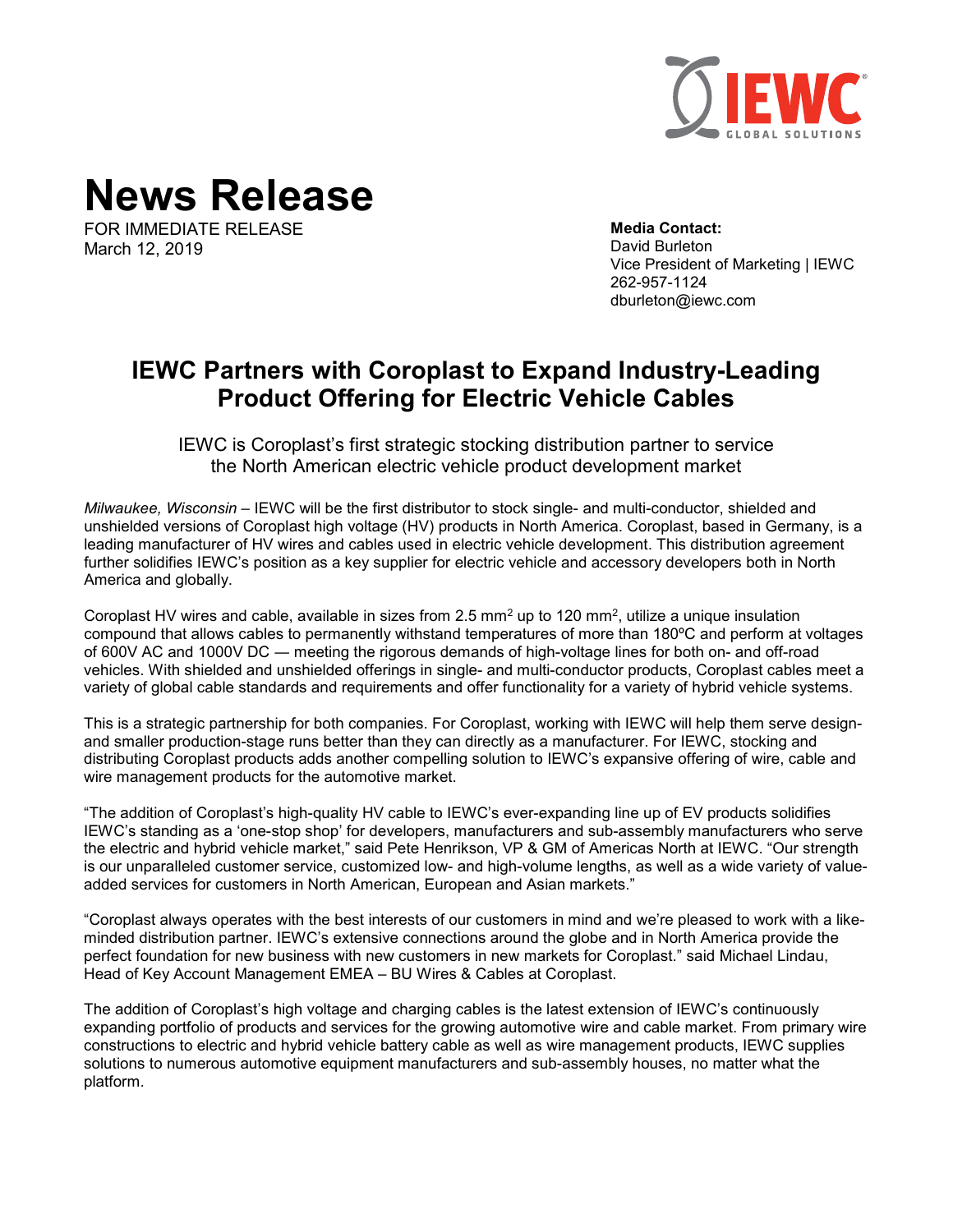

**News Release**

FOR IMMEDIATE RELEASE March 12, 2019

**Media Contact:**  David Burleton Vice President of Marketing | IEWC 262-957-1124 dburleton@iewc.com

## **IEWC Partners with Coroplast to Expand Industry-Leading Product Offering for Electric Vehicle Cables**

IEWC is Coroplast's first strategic stocking distribution partner to service the North American electric vehicle product development market

*Milwaukee, Wisconsin* – IEWC will be the first distributor to stock single- and multi-conductor, shielded and unshielded versions of Coroplast high voltage (HV) products in North America. Coroplast, based in Germany, is a leading manufacturer of HV wires and cables used in electric vehicle development. This distribution agreement further solidifies IEWC's position as a key supplier for electric vehicle and accessory developers both in North America and globally.

Coroplast HV wires and cable, available in sizes from 2.5  $mm<sup>2</sup>$  up to 120  $mm<sup>2</sup>$ , utilize a unique insulation compound that allows cables to permanently withstand temperatures of more than 180ºC and perform at voltages of 600V AC and 1000V DC ― meeting the rigorous demands of high-voltage lines for both on- and off-road vehicles. With shielded and unshielded offerings in single- and multi-conductor products, Coroplast cables meet a variety of global cable standards and requirements and offer functionality for a variety of hybrid vehicle systems.

This is a strategic partnership for both companies. For Coroplast, working with IEWC will help them serve designand smaller production-stage runs better than they can directly as a manufacturer. For IEWC, stocking and distributing Coroplast products adds another compelling solution to IEWC's expansive offering of wire, cable and wire management products for the automotive market.

"The addition of Coroplast's high-quality HV cable to IEWC's ever-expanding line up of EV products solidifies IEWC's standing as a 'one-stop shop' for developers, manufacturers and sub-assembly manufacturers who serve the electric and hybrid vehicle market," said Pete Henrikson, VP & GM of Americas North at IEWC. "Our strength is our unparalleled customer service, customized low- and high-volume lengths, as well as a wide variety of valueadded services for customers in North American, European and Asian markets."

"Coroplast always operates with the best interests of our customers in mind and we're pleased to work with a likeminded distribution partner. IEWC's extensive connections around the globe and in North America provide the perfect foundation for new business with new customers in new markets for Coroplast." said Michael Lindau, Head of Key Account Management EMEA – BU Wires & Cables at Coroplast.

The addition of Coroplast's high voltage and charging cables is the latest extension of IEWC's continuously expanding portfolio of products and services for the growing automotive wire and cable market. From primary wire constructions to electric and hybrid vehicle battery cable as well as wire management products, IEWC supplies solutions to numerous automotive equipment manufacturers and sub-assembly houses, no matter what the platform.